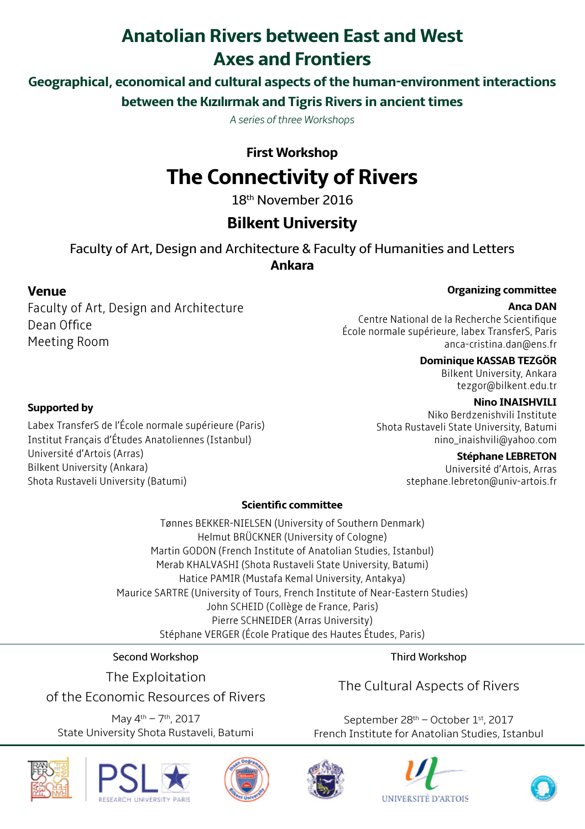# **Anatolian Rivers between East and West Axes and Frontiers**

**Geographical, economical and cultural aspects of the human-environment interactions between the Kızılırmak and Tigris Rivers in ancient times**

*A series of three Workshops*

# **First Workshop The Connectivity of Rivers**

18th November 2016

# **Bilkent University**

Faculty of Art, Design and Architecture & Faculty of Humanities and Letters **Ankara**

## **Venue**

Faculty of Art, Design and Architecture Dean Office Meeting Room

#### **Organizing committee**

#### **Anca DAN**

Centre National de la Recherche Scientifique École normale supérieure, labex TransferS, Paris anca-cristina.dan@ens.fr

### **Dominique KASSAB TEZGÖR**

Bilkent University, Ankara tezgor@bilkent.edu.tr

#### **Nino INAISHVILI**

Niko Berdzenishvili Institute Shota Rustaveli State University, Batumi nino\_inaishvili@yahoo.com

#### **Stéphane LEBRETON**

Université d'Artois, Arras stephane.lebreton@univ-artois.fr

### **Scientific committee**

Tønnes BEKKER-NIELSEN (University of Southern Denmark) Helmut BRÜCKNER (University of Cologne) Martin GODON (French Institute of Anatolian Studies, Istanbul) Merab KHALVASHI (Shota Rustaveli State University, Batumi) Hatice PAMIR (Mustafa Kemal University, Antakya) Maurice SARTRE (University of Tours, French Institute of Near-Eastern Studies) John SCHEID (Collège de France, Paris) Pierre SCHNEIDER (Arras University) Stéphane VERGER (École Pratique des Hautes Études, Paris)

Second Workshop

The Exploitation

of the Economic Resources of Rivers

May 4th – 7th, 2017 State University Shota Rustaveli, Batumi Third Workshop

The Cultural Aspects of Rivers

September 28<sup>th</sup> – October 1<sup>st</sup>, 2017 French Institute for Anatolian Studies, Istanbul













## **Supported by**

Labex TransferS de l'École normale supérieure (Paris) Institut Français d'Études Anatoliennes (Istanbul) Université d'Artois (Arras) Bilkent University (Ankara) Shota Rustaveli University (Batumi)